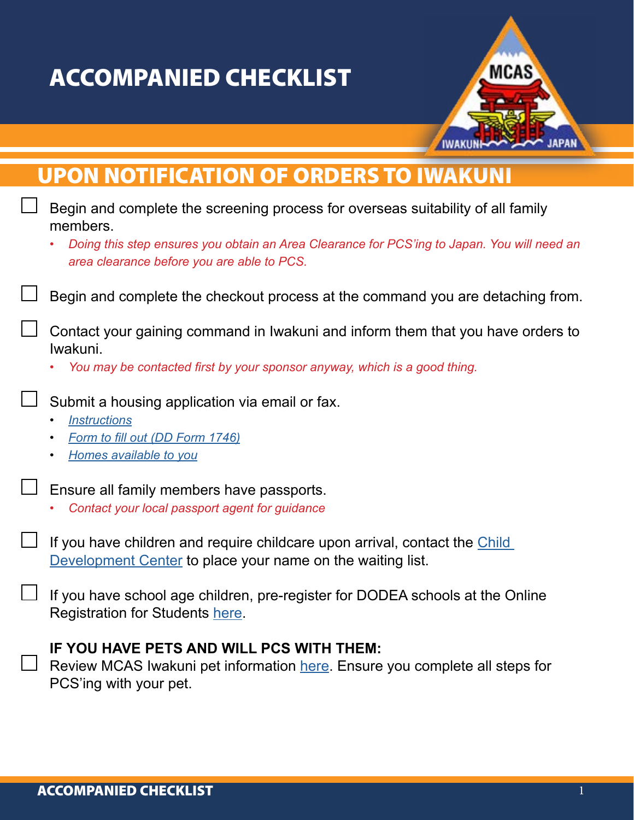## ACCOMPANIED CHECKLIST



## UPON NOTIFICATION OF ORDERS TO IWAKUNI

| Begin and complete the screening process for overseas suitability of all family<br>members.                                                                              |
|--------------------------------------------------------------------------------------------------------------------------------------------------------------------------|
| Doing this step ensures you obtain an Area Clearance for PCS'ing to Japan. You will need an<br>area clearance before you are able to PCS.                                |
| Begin and complete the checkout process at the command you are detaching from.                                                                                           |
| Contact your gaining command in Iwakuni and inform them that you have orders to<br>Iwakuni.<br>You may be contacted first by your sponsor anyway, which is a good thing. |
|                                                                                                                                                                          |
| Submit a housing application via email or fax.                                                                                                                           |
| <b>Instructions</b><br>Form to fill out (DD Form 1746)<br>$\bullet$                                                                                                      |
| Homes available to you                                                                                                                                                   |
| Ensure all family members have passports.                                                                                                                                |
| Contact your local passport agent for guidance                                                                                                                           |
| If you have children and require childcare upon arrival, contact the Child<br>Development Center to place your name on the waiting list.                                 |
| If you have school age children, pre-register for DODEA schools at the Online<br>Registration for Students here.                                                         |
| IF YOU HAVE PETS AND WILL PCS WITH THEM:<br>Review MCAS Iwakuni pet information here. Ensure you complete all steps for<br>PCS'ing with your pet.                        |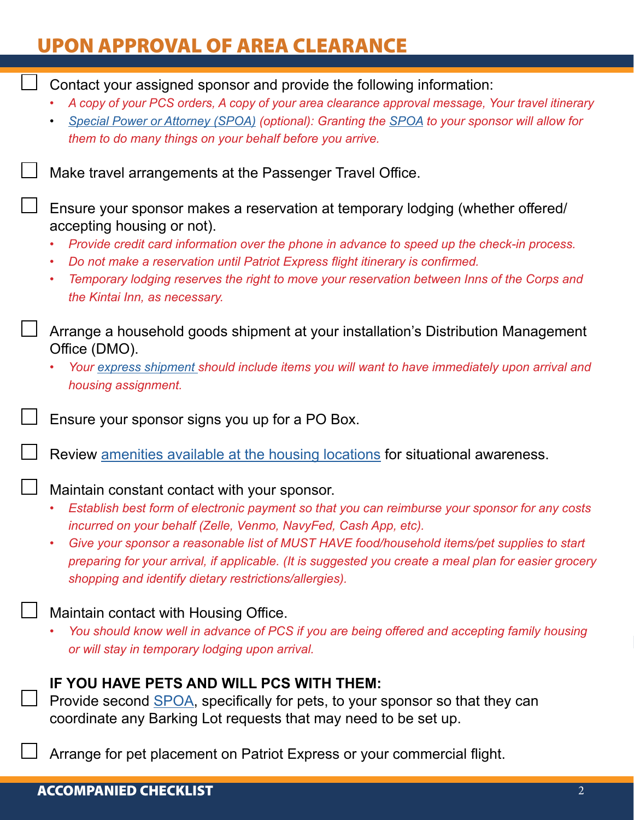## UPON APPROVAL OF AREA CLEARANCE

Contact your assigned sponsor and provide the following information: *• A copy of your PCS orders, A copy of your area clearance approval message, Your travel itinerary • [Special Power or Attorney \(SPOA\)](https://www.mcasiwakuni.marines.mil/Portals/112/Docs/sja/legal/SPOA.pdf) (optional): Granting the [SPOA](https://www.mcasiwakuni.marines.mil/Portals/112/Docs/sja/legal/SPOA.pdf) to your sponsor will allow for them to do many things on your behalf before you arrive.* Make travel arrangements at the Passenger Travel Office. Ensure your sponsor makes a reservation at temporary lodging (whether offered/ accepting housing or not). *• Provide credit card information over the phone in advance to speed up the check-in process. • Do not make a reservation until Patriot Express flight itinerary is confirmed. • Temporary lodging reserves the right to move your reservation between Inns of the Corps and the Kintai Inn, as necessary.* Arrange a household goods shipment at your installation's Distribution Management Office (DMO). *• Your [express shipment](https://www.mcasiwakuni.marines.mil/Portals/112/Docs/welcome/dmo/UB_Packing_List.pdf) should include items you will want to have immediately upon arrival and housing assignment.* Ensure your sponsor signs you up for a PO Box. Review [amenities available at the housing locations](https://www.mcasiwakuni.marines.mil/Portals/112/Docs/PCS-to-Iwakuni/List%20of%20Amenities%20at%20ROM%20Locations.pdf) for situational awareness. Maintain constant contact with your sponsor. *• Establish best form of electronic payment so that you can reimburse your sponsor for any costs incurred on your behalf (Zelle, Venmo, NavyFed, Cash App, etc). • Give your sponsor a reasonable list of MUST HAVE food/household items/pet supplies to start preparing for your arrival, if applicable. (It is suggested you create a meal plan for easier grocery shopping and identify dietary restrictions/allergies).* Maintain contact with Housing Office. *• You should know well in advance of PCS if you are being offered and accepting family housing or will stay in temporary lodging upon arrival.* **IF YOU HAVE PETS AND WILL PCS WITH THEM:** Provide second [SPOA](https://www.mcasiwakuni.marines.mil/Portals/112/Docs/sja/legal/PET_POA.pdf), specifically for pets, to your sponsor so that they can coordinate any Barking Lot requests that may need to be set up. Arrange for pet placement on Patriot Express or your commercial flight.